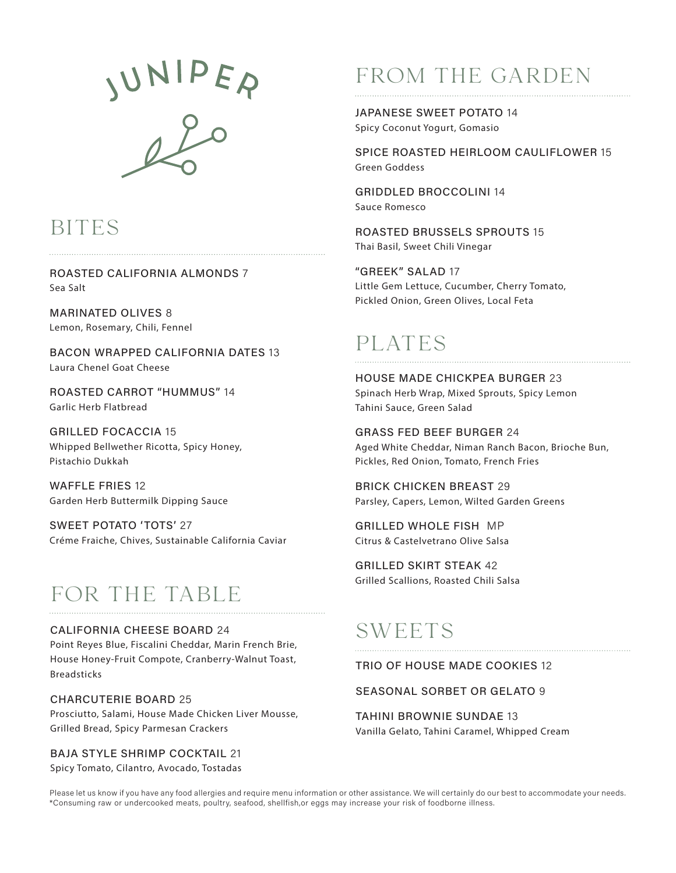JUNIPER

## BITES

ROASTED CALIFORNIA ALMONDS 7 Sea Salt

MARINATED OLIVES 8 Lemon, Rosemary, Chili, Fennel

BACON WRAPPED CALIFORNIA DATES 13 Laura Chenel Goat Cheese

ROASTED CARROT "HUMMUS" 14 Garlic Herb Flatbread

GRILLED FOCACCIA 15 Whipped Bellwether Ricotta, Spicy Honey, Pistachio Dukkah

WAFFLE FRIES 12 Garden Herb Buttermilk Dipping Sauce

SWEET POTATO 'TOTS' 27 Créme Fraiche, Chives, Sustainable California Caviar

# FOR THE TABLE

#### CALIFORNIA CHEESE BOARD 24

Point Reyes Blue, Fiscalini Cheddar, Marin French Brie, House Honey-Fruit Compote, Cranberry-Walnut Toast, Breadsticks

#### CHARCUTERIE BOARD 25

Prosciutto, Salami, House Made Chicken Liver Mousse, Grilled Bread, Spicy Parmesan Crackers

BAJA STYLE SHRIMP COCKTAIL 21 Spicy Tomato, Cilantro, Avocado, Tostadas

# FROM THE GARDEN

JAPANESE SWEET POTATO 14 Spicy Coconut Yogurt, Gomasio

SPICE ROASTED HEIRLOOM CAULIFLOWER 15 Green Goddess

GRIDDLED BROCCOLINI 14 Sauce Romesco

ROASTED BRUSSELS SPROUTS 15 Thai Basil, Sweet Chili Vinegar

"GREEK" SALAD 17 Little Gem Lettuce, Cucumber, Cherry Tomato, Pickled Onion, Green Olives, Local Feta

## PLATES

HOUSE MADE CHICKPEA BURGER 23 Spinach Herb Wrap, Mixed Sprouts, Spicy Lemon Tahini Sauce, Green Salad

GRASS FED BEEF BURGER 24 Aged White Cheddar, Niman Ranch Bacon, Brioche Bun, Pickles, Red Onion, Tomato, French Fries

BRICK CHICKEN BREAST 29 Parsley, Capers, Lemon, Wilted Garden Greens

GRILLED WHOLE FISH MP Citrus & Castelvetrano Olive Salsa

GRILLED SKIRT STEAK 42 Grilled Scallions, Roasted Chili Salsa

## SWEETS

TRIO OF HOUSE MADE COOKIES 12

### SEASONAL SORBET OR GELATO 9

TAHINI BROWNIE SUNDAE 13 Vanilla Gelato, Tahini Caramel, Whipped Cream

Please let us know if you have any food allergies and require menu information or other assistance. We will certainly do our best to accommodate your needs. \*Consuming raw or undercooked meats, poultry, seafood, shellfish,or eggs may increase your risk of foodborne illness.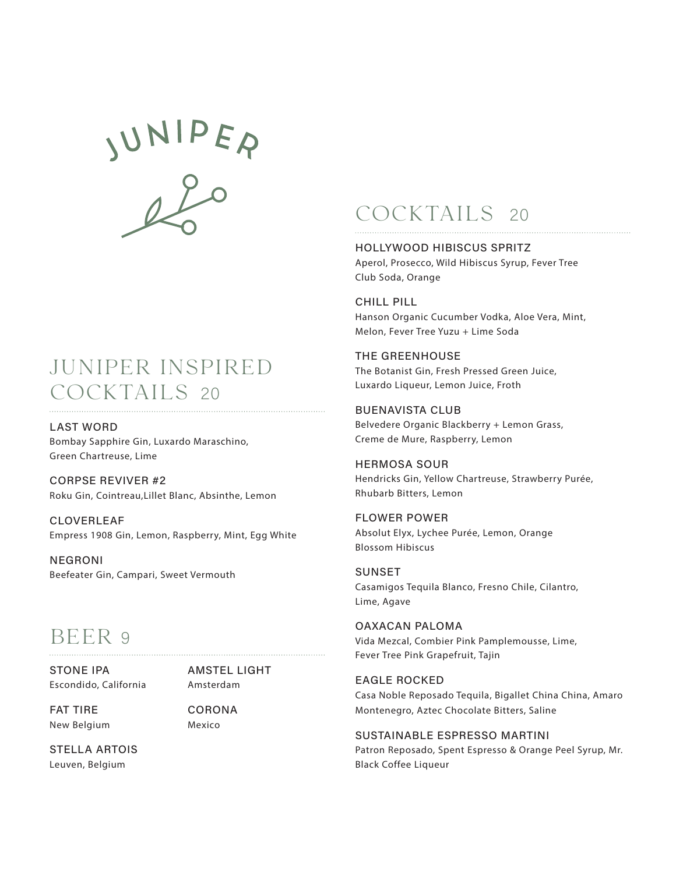

### JUNIPER INSPIRED COCKTAILS 20

LAST WORD Bombay Sapphire Gin, Luxardo Maraschino, Green Chartreuse, Lime

CORPSE REVIVER #2 Roku Gin, Cointreau,Lillet Blanc, Absinthe, Lemon

CLOVERLEAF Empress 1908 Gin, Lemon, Raspberry, Mint, Egg White

NEGRONI Beefeater Gin, Campari, Sweet Vermouth

### BEER 9

STONE IPA Escondido, California

AMSTEL LIGHT Amsterdam

FAT TIRE New Belgium CORONA Mexico

STELLA ARTOIS Leuven, Belgium

## COCKTAILS <sup>20</sup>

#### HOLLYWOOD HIBISCUS SPRITZ Aperol, Prosecco, Wild Hibiscus Syrup, Fever Tree

Club Soda, Orange

CHILL PILL Hanson Organic Cucumber Vodka, Aloe Vera, Mint, Melon, Fever Tree Yuzu + Lime Soda

#### THE GREENHOUSE The Botanist Gin, Fresh Pressed Green Juice, Luxardo Liqueur, Lemon Juice, Froth

BUENAVISTA CLUB Belvedere Organic Blackberry + Lemon Grass, Creme de Mure, Raspberry, Lemon

HERMOSA SOUR Hendricks Gin, Yellow Chartreuse, Strawberry Purée, Rhubarb Bitters, Lemon

FLOWER POWER Absolut Elyx, Lychee Purée, Lemon, Orange Blossom Hibiscus

SUNSET Casamigos Tequila Blanco, Fresno Chile, Cilantro, Lime, Agave

OAXACAN PALOMA Vida Mezcal, Combier Pink Pamplemousse, Lime, Fever Tree Pink Grapefruit, Tajin

EAGLE ROCKED Casa Noble Reposado Tequila, Bigallet China China, Amaro Montenegro, Aztec Chocolate Bitters, Saline

#### SUSTAINABLE ESPRESSO MARTINI

Patron Reposado, Spent Espresso & Orange Peel Syrup, Mr. Black Coffee Liqueur